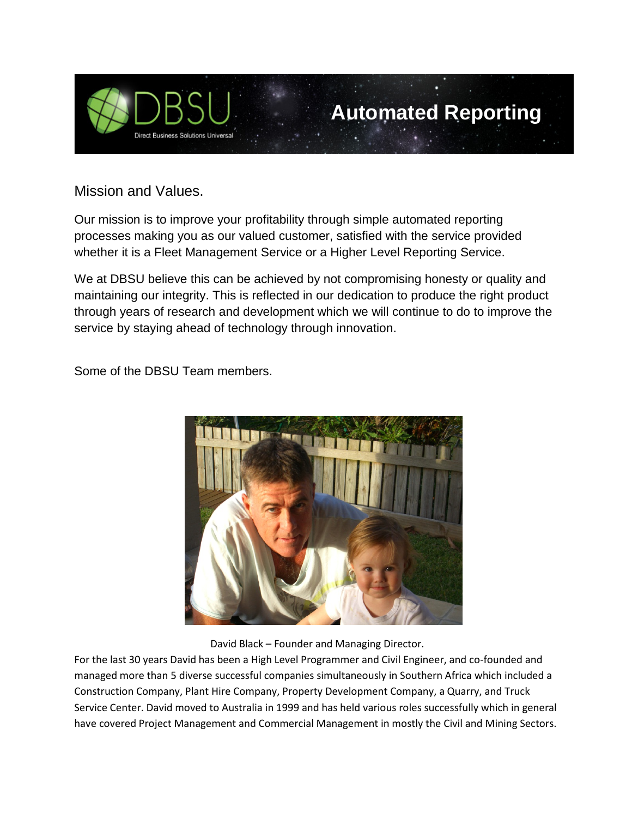

## **Automated Reporting**

Mission and Values.

Our mission is to improve your profitability through simple automated reporting processes making you as our valued customer, satisfied with the service provided whether it is a Fleet Management Service or a Higher Level Reporting Service.

We at DBSU believe this can be achieved by not compromising honesty or quality and maintaining our integrity. This is reflected in our dedication to produce the right product through years of research and development which we will continue to do to improve the service by staying ahead of technology through innovation.

Some of the DBSU Team members.



David Black – Founder and Managing Director.

For the last 30 years David has been a High Level Programmer and Civil Engineer, and co-founded and managed more than 5 diverse successful companies simultaneously in Southern Africa which included a Construction Company, Plant Hire Company, Property Development Company, a Quarry, and Truck Service Center. David moved to Australia in 1999 and has held various roles successfully which in general have covered Project Management and Commercial Management in mostly the Civil and Mining Sectors.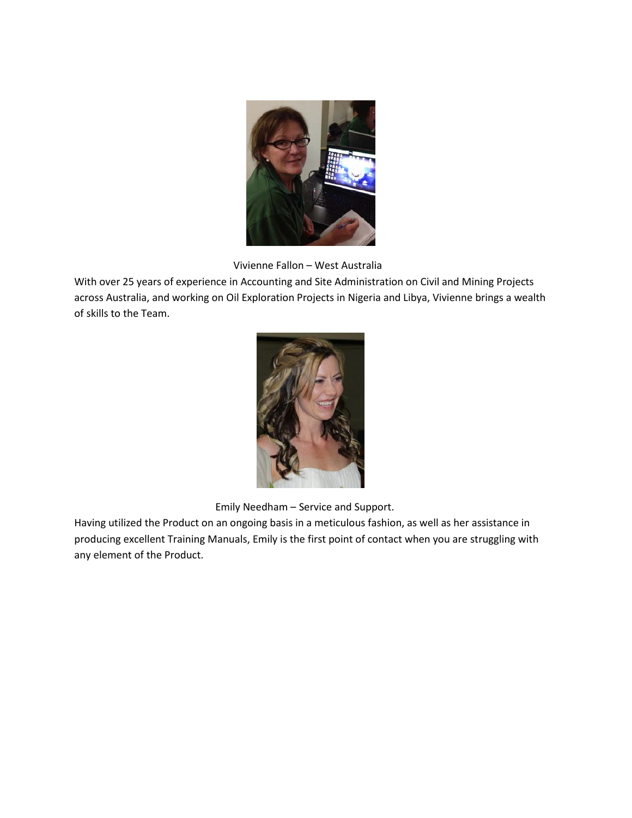

Vivienne Fallon – West Australia

With over 25 years of experience in Accounting and Site Administration on Civil and Mining Projects across Australia, and working on Oil Exploration Projects in Nigeria and Libya, Vivienne brings a wealth of skills to the Team.



Emily Needham – Service and Support.

Having utilized the Product on an ongoing basis in a meticulous fashion, as well as her assistance in producing excellent Training Manuals, Emily is the first point of contact when you are struggling with any element of the Product.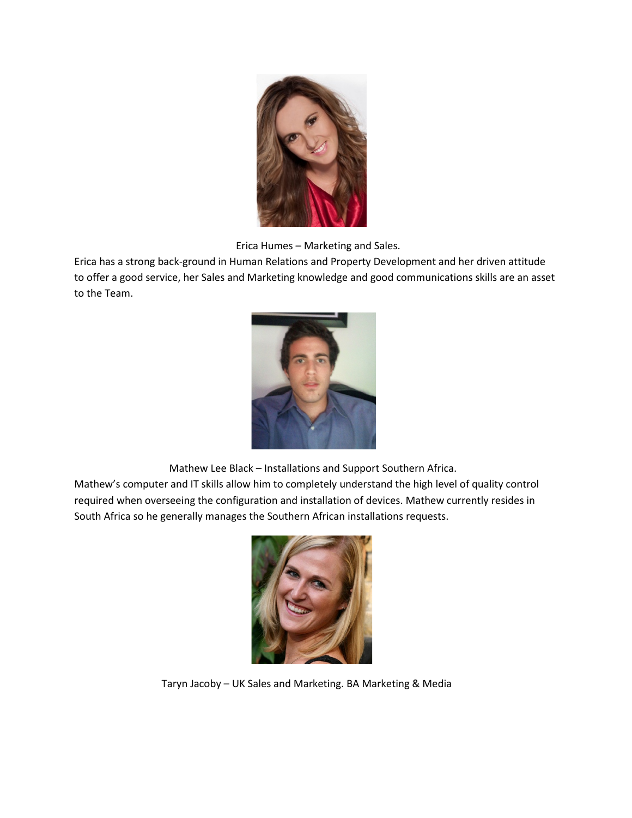

Erica Humes – Marketing and Sales.

Erica has a strong back-ground in Human Relations and Property Development and her driven attitude to offer a good service, her Sales and Marketing knowledge and good communications skills are an asset to the Team.



Mathew Lee Black – Installations and Support Southern Africa.

Mathew's computer and IT skills allow him to completely understand the high level of quality control required when overseeing the configuration and installation of devices. Mathew currently resides in South Africa so he generally manages the Southern African installations requests.



Taryn Jacoby – UK Sales and Marketing. BA Marketing & Media